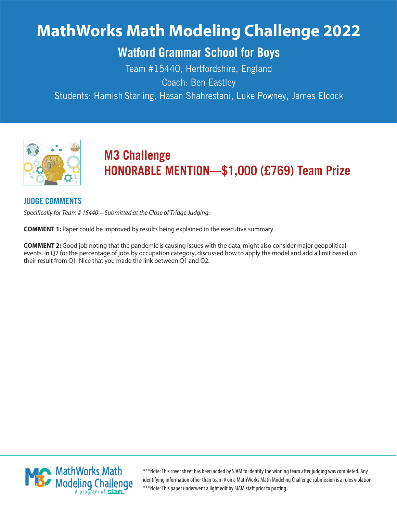# **MathWorks Math Modeling Challenge 2022**

# **Watford Grammar School for Boys**

Team #15440, Hertfordshire, England Coach: Ben Eastley

Students: Hamish Starling, Hasan Shahrestani, Luke Powney, James Elcock



# **M3 Challenge HONORABLE MENTION—\$1,000 (£769) Team Prize**

#### **JUDGE COMMENTS**

Specifically for Team # 15440—Submitted at the Close of Triage Judging:

**COMMENT 1:** Paper could be improved by results being explained in the executive summary.

**COMMENT 2:** Good job noting that the pandemic is causing issues with the data; might also consider major geopolitical events. In Q2 for the percentage of jobs by occupation category, discussed how to apply the model and add a limit based on their result from Q1. Nice that you made the link between Q1 and Q2.



\*\*\*Note: This cover sheet has been added by SIAM to identify the winning team after judging was completed. Any identifying information other than team # on a MathWorks Math Modeling Challenge submission is a rules violation. \*\*\*Note: This paper underwent a light edit by SIAM staff prior to posting.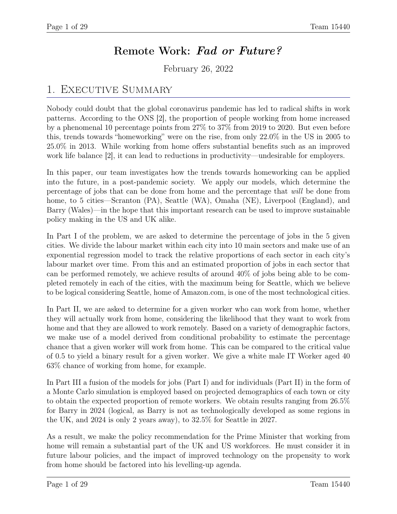# Remote Work: Fad or Future?

February 26, 2022

# 1. EXECUTIVE SUMMARY

Nobody could doubt that the global coronavirus pandemic has led to radical shifts in work patterns. According to the ONS [2], the proportion of people working from home increased by a phenomenal 10 percentage points from 27% to 37% from 2019 to 2020. But even before this, trends towards "homeworking" were on the rise, from only 22.0% in the US in 2005 to 25.0% in 2013. While working from home offers substantial benefits such as an improved work life balance [2], it can lead to reductions in productivity—undesirable for employers.

In this paper, our team investigates how the trends towards homeworking can be applied into the future, in a post-pandemic society. We apply our models, which determine the percentage of jobs that can be done from home and the percentage that will be done from home, to 5 cities—Scranton (PA), Seattle (WA), Omaha (NE), Liverpool (England), and Barry (Wales)—in the hope that this important research can be used to improve sustainable policy making in the US and UK alike.

In Part I of the problem, we are asked to determine the percentage of jobs in the 5 given cities. We divide the labour market within each city into 10 main sectors and make use of an exponential regression model to track the relative proportions of each sector in each city's labour market over time. From this and an estimated proportion of jobs in each sector that can be performed remotely, we achieve results of around 40% of jobs being able to be completed remotely in each of the cities, with the maximum being for Seattle, which we believe to be logical considering Seattle, home of Amazon.com, is one of the most technological cities.

In Part II, we are asked to determine for a given worker who can work from home, whether they will actually work from home, considering the likelihood that they want to work from home and that they are allowed to work remotely. Based on a variety of demographic factors, we make use of a model derived from conditional probability to estimate the percentage chance that a given worker will work from home. This can be compared to the critical value of 0.5 to yield a binary result for a given worker. We give a white male IT Worker aged 40 63% chance of working from home, for example.

In Part III a fusion of the models for jobs (Part I) and for individuals (Part II) in the form of a Monte Carlo simulation is employed based on projected demographics of each town or city to obtain the expected proportion of remote workers. We obtain results ranging from 26.5% for Barry in 2024 (logical, as Barry is not as technologically developed as some regions in the UK, and 2024 is only 2 years away), to 32.5% for Seattle in 2027.

As a result, we make the policy recommendation for the Prime Minister that working from home will remain a substantial part of the UK and US workforces. He must consider it in future labour policies, and the impact of improved technology on the propensity to work from home should be factored into his levelling-up agenda.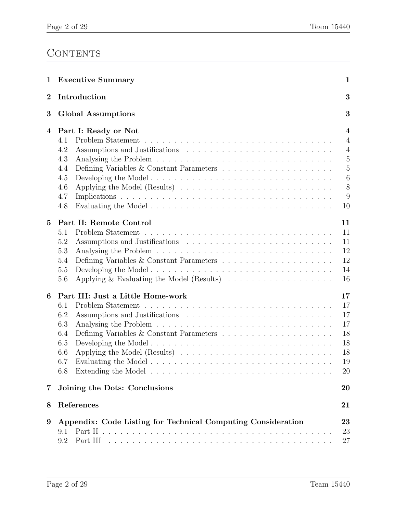# **CONTENTS**

| 1                       | <b>Executive Summary</b>                                                                                                                                                                     | $\mathbf{1}$                                                                                                                        |  |  |  |
|-------------------------|----------------------------------------------------------------------------------------------------------------------------------------------------------------------------------------------|-------------------------------------------------------------------------------------------------------------------------------------|--|--|--|
| $\bf{2}$                | Introduction                                                                                                                                                                                 | 3                                                                                                                                   |  |  |  |
| 3                       | 3<br><b>Global Assumptions</b>                                                                                                                                                               |                                                                                                                                     |  |  |  |
| 4                       | Part I: Ready or Not<br>4.1<br>4.2<br>4.3<br>Defining Variables & Constant Parameters $\dots \dots \dots \dots \dots \dots \dots$<br>4.4<br>Developing the Model<br>4.5<br>4.6<br>4.7<br>4.8 | $\overline{\mathbf{4}}$<br>$\overline{4}$<br>$\overline{4}$<br>$\overline{5}$<br>$\overline{5}$<br>$\boldsymbol{6}$<br>8<br>9<br>10 |  |  |  |
| $\overline{5}$          | Part II: Remote Control<br>5.1<br>5.2<br>5.3<br>5.4<br>5.5<br>Applying & Evaluating the Model (Results) $\ldots \ldots \ldots \ldots \ldots$<br>5.6                                          | 11<br>11<br>11<br>12<br>12<br>14<br>16                                                                                              |  |  |  |
| 6                       | Part III: Just a Little Home-work<br>6.1<br>6.2<br>6.3<br>6.4<br>Developing the Model<br>6.5<br>6.6<br>6.7<br>6.8                                                                            | 17<br>17<br>17<br>17<br>18<br>18<br>18<br>19<br>20                                                                                  |  |  |  |
| $\overline{\mathbf{7}}$ | Joining the Dots: Conclusions                                                                                                                                                                | 20                                                                                                                                  |  |  |  |
| 8                       | References                                                                                                                                                                                   | 21                                                                                                                                  |  |  |  |
| $9\phantom{.0}$         | Appendix: Code Listing for Technical Computing Consideration<br>9.1<br>9.2                                                                                                                   | 23<br>23<br>27                                                                                                                      |  |  |  |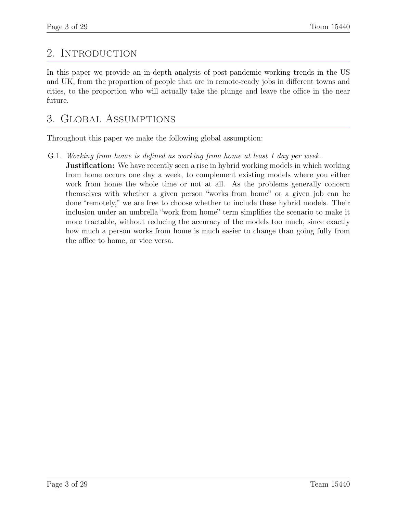# 2. INTRODUCTION

In this paper we provide an in-depth analysis of post-pandemic working trends in the US and UK, from the proportion of people that are in remote-ready jobs in different towns and cities, to the proportion who will actually take the plunge and leave the office in the near future.

# 3. Global Assumptions

Throughout this paper we make the following global assumption:

G.1. Working from home is defined as working from home at least 1 day per week.

**Justification:** We have recently seen a rise in hybrid working models in which working from home occurs one day a week, to complement existing models where you either work from home the whole time or not at all. As the problems generally concern themselves with whether a given person "works from home" or a given job can be done "remotely," we are free to choose whether to include these hybrid models. Their inclusion under an umbrella "work from home" term simplifies the scenario to make it more tractable, without reducing the accuracy of the models too much, since exactly how much a person works from home is much easier to change than going fully from the office to home, or vice versa.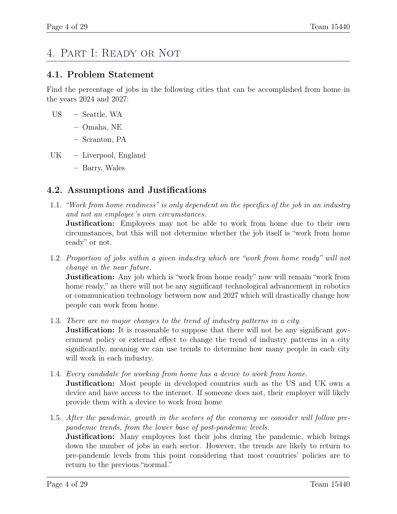# 4. Part I: Ready or Not

#### 4.1. Problem Statement

Find the percentage of jobs in the following cities that can be accomplished from home in the years 2024 and 2027:

- US Seattle, WA
	- Omaha, NE
	- Scranton, PA
- UK Liverpool, England
	- Barry, Wales

#### 4.2. Assumptions and Justifications

1.1. "Work from home readiness" is only dependent on the specifics of the job in an industry and not an employee's own circumstances.

**Justification:** Employees may not be able to work from home due to their own circumstances, but this will not determine whether the job itself is "work from home ready" or not.

1.2. Proportion of jobs within a given industry which are "work from home ready" will not change in the near future.

**Justification:** Any job which is "work from home ready" now will remain "work from home ready," as there will not be any significant technological advancement in robotics or communication technology between now and 2027 which will drastically change how people can work from home.

1.3. There are no major changes to the trend of industry patterns in a city.

**Justification:** It is reasonable to suppose that there will not be any significant government policy or external effect to change the trend of industry patterns in a city significantly, meaning we can use trends to determine how many people in each city will work in each industry.

- 1.4. Every candidate for working from home has a device to work from home. **Justification:** Most people in developed countries such as the US and UK own a device and have access to the internet. If someone does not, their employer will likely provide them with a device to work from home
- 1.5. After the pandemic, growth in the sectors of the economy we consider will follow prepandemic trends, from the lower base of post-pandemic levels. **Justification:** Many employees lost their jobs during the pandemic, which brings down the number of jobs in each sector. However, the trends are likely to return to pre-pandemic levels from this point considering that most countries' policies are to return to the previous "normal."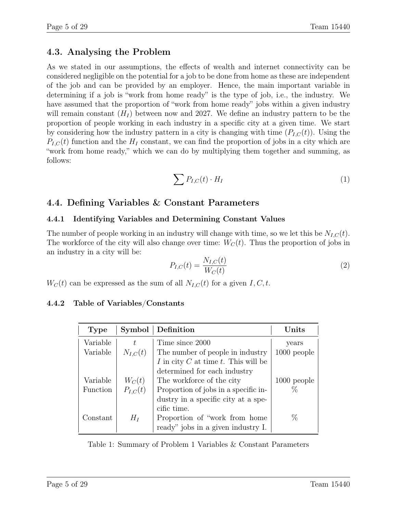# 4.3. Analysing the Problem

As we stated in our assumptions, the effects of wealth and internet connectivity can be considered negligible on the potential for a job to be done from home as these are independent of the job and can be provided by an employer. Hence, the main important variable in determining if a job is "work from home ready" is the type of job, i.e., the industry. We have assumed that the proportion of "work from home ready" jobs within a given industry will remain constant  $(H_I)$  between now and 2027. We define an industry pattern to be the proportion of people working in each industry in a specific city at a given time. We start by considering how the industry pattern in a city is changing with time  $(P_{L,C}(t))$ . Using the  $P_{I,C}(t)$  function and the  $H_I$  constant, we can find the proportion of jobs in a city which are "work from home ready," which we can do by multiplying them together and summing, as follows:

$$
\sum P_{I,C}(t) \cdot H_I \tag{1}
$$

# 4.4. Defining Variables & Constant Parameters

#### 4.4.1 Identifying Variables and Determining Constant Values

The number of people working in an industry will change with time, so we let this be  $N_{I,C}(t)$ . The workforce of the city will also change over time:  $W_C(t)$ . Thus the proportion of jobs in an industry in a city will be:

$$
P_{I,C}(t) = \frac{N_{I,C}(t)}{W_C(t)}
$$
\n
$$
(2)
$$

 $W_C(t)$  can be expressed as the sum of all  $N_{I,C}(t)$  for a given  $I, C, t$ .

### 4.4.2 Table of Variables/Constants

| <b>Type</b>     | Symbol       | Definition                           | Units         |
|-----------------|--------------|--------------------------------------|---------------|
| Variable        | t.           | Time since 2000                      | years         |
| Variable        | $N_{I,C}(t)$ | The number of people in industry     | $1000$ people |
|                 |              | I in city C at time t. This will be  |               |
|                 |              | determined for each industry         |               |
| Variable        | $W_C(t)$     | The workforce of the city            | $1000$ people |
| <b>Function</b> | $P_{I,C}(t)$ | Proportion of jobs in a specific in- | ℅             |
|                 |              | dustry in a specific city at a spe-  |               |
|                 |              | cific time.                          |               |
| Constant        | $H_I$        | Proportion of "work from home"       | %             |
|                 |              | ready" jobs in a given industry I.   |               |

Table 1: Summary of Problem 1 Variables & Constant Parameters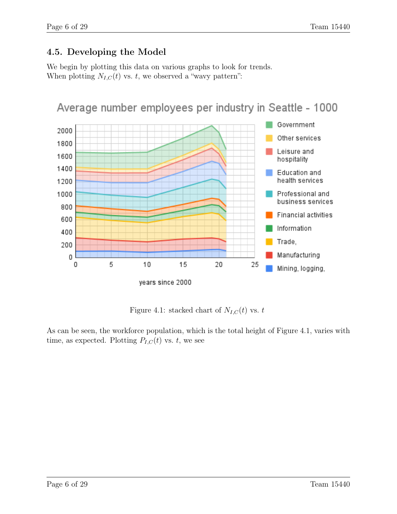# 4.5. Developing the Model

We begin by plotting this data on various graphs to look for trends. When plotting  $N_{I,C}(t)$  vs. t, we observed a "wavy pattern":



Figure 4.1: stacked chart of  $N_{I,C}(t)$  vs. t

As can be seen, the workforce population, which is the total height of Figure 4.1, varies with time, as expected. Plotting  $P_{I,C}(t)$  vs. t, we see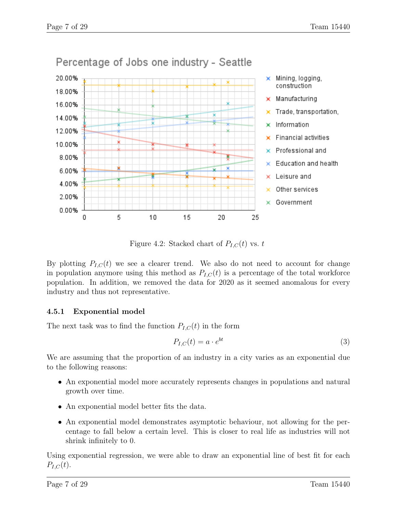

Figure 4.2: Stacked chart of  $P_{I,C}(t)$  vs. t

By plotting  $P_{I,C}(t)$  we see a clearer trend. We also do not need to account for change in population anymore using this method as  $P_{I,C}(t)$  is a percentage of the total workforce population. In addition, we removed the data for 2020 as it seemed anomalous for every industry and thus not representative.

#### 4.5.1 Exponential model

The next task was to find the function  $P_{I,C}(t)$  in the form

$$
P_{I,C}(t) = a \cdot e^{bt} \tag{3}
$$

We are assuming that the proportion of an industry in a city varies as an exponential due to the following reasons:

- An exponential model more accurately represents changes in populations and natural growth over time.
- An exponential model better fits the data.
- An exponential model demonstrates asymptotic behaviour, not allowing for the percentage to fall below a certain level. This is closer to real life as industries will not shrink infinitely to 0.

Using exponential regression, we were able to draw an exponential line of best fit for each  $P_{I,C}(t)$ .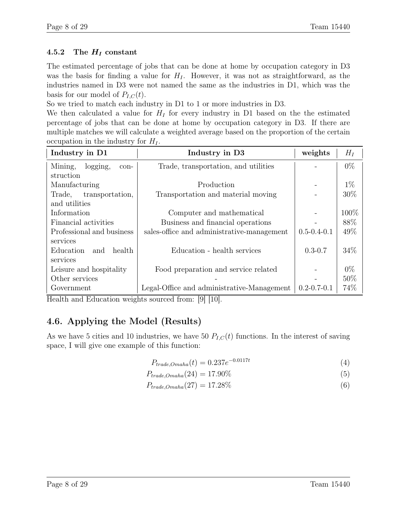#### 4.5.2 The  $H_I$  constant

The estimated percentage of jobs that can be done at home by occupation category in D3 was the basis for finding a value for  $H<sub>I</sub>$ . However, it was not as straightforward, as the industries named in D3 were not named the same as the industries in D1, which was the basis for our model of  $P_{I,C}(t)$ .

So we tried to match each industry in D1 to 1 or more industries in D3.

We then calculated a value for  $H_I$  for every industry in D1 based on the the estimated percentage of jobs that can be done at home by occupation category in D3. If there are multiple matches we will calculate a weighted average based on the proportion of the certain occupation in the industry for  $H_I$ .

| Industry in D1              | Industry in D3                             | weights           | $H_I$  |
|-----------------------------|--------------------------------------------|-------------------|--------|
| Mining,<br>logging,<br>con- | Trade, transportation, and utilities       |                   | $0\%$  |
| struction                   |                                            |                   |        |
| Manufacturing               | Production                                 |                   | $1\%$  |
| Trade,<br>transportation,   | Transportation and material moving         |                   | $30\%$ |
| and utilities               |                                            |                   |        |
| Information                 | Computer and mathematical                  |                   | 100%   |
| Financial activities        | Business and financial operations          |                   | 88%    |
| Professional and business   | sales-office and administrative-management | $0.5 - 0.4 - 0.1$ | 49%    |
| services                    |                                            |                   |        |
| health<br>Education<br>and  | Education - health services                | $0.3 - 0.7$       | 34%    |
| services                    |                                            |                   |        |
| Leisure and hospitality     | Food preparation and service related       |                   | $0\%$  |
| Other services              |                                            |                   | 50%    |
| Government                  | Legal-Office and administrative-Management | $0.2 - 0.7 - 0.1$ | 74%    |

Health and Education weights sourced from: [9] [10].

# 4.6. Applying the Model (Results)

As we have 5 cities and 10 industries, we have 50  $P_{I,C}(t)$  functions. In the interest of saving space, I will give one example of this function:

$$
P_{trade,Omaha}(t) = 0.237e^{-0.0117t}
$$
\n(4)

$$
P_{trade,Omaha}(24) = 17.90\% \tag{5}
$$

$$
P_{trade,Omaha}(27) = 17.28\% \tag{6}
$$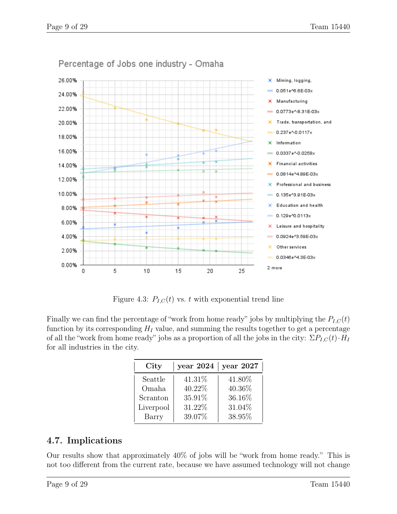

Percentage of Jobs one industry - Omaha

Figure 4.3:  $P_{I,C}(t)$  vs. t with exponential trend line

Finally we can find the percentage of "work from home ready" jobs by multiplying the  $P_{I,C}(t)$ function by its corresponding  $H_I$  value, and summing the results together to get a percentage of all the "work from home ready" jobs as a proportion of all the jobs in the city:  $\Sigma P_{I,C}(t) \cdot H_I$ for all industries in the city.

| City      | year $2024$   year $2027$ |        |
|-----------|---------------------------|--------|
| Seattle   | 41.31\%                   | 41.80% |
| Omaha     | 40.22%                    | 40.36% |
| Scranton  | 35.91%                    | 36.16% |
| Liverpool | 31.22%                    | 31.04% |
| Barry     | 39.07%                    | 38.95% |

# 4.7. Implications

Our results show that approximately 40% of jobs will be "work from home ready." This is not too different from the current rate, because we have assumed technology will not change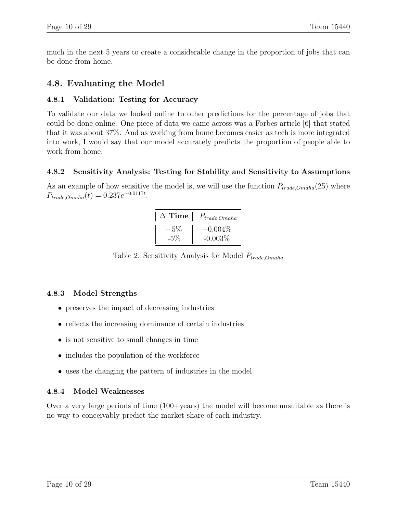much in the next 5 years to create a considerable change in the proportion of jobs that can be done from home.

#### 4.8. Evaluating the Model

#### 4.8.1 Validation: Testing for Accuracy

To validate our data we looked online to other predictions for the percentage of jobs that could be done online. One piece of data we came across was a Forbes article [6] that stated that it was about 37%. And as working from home becomes easier as tech is more integrated into work, I would say that our model accurately predicts the proportion of people able to work from home.

#### 4.8.2 Sensitivity Analysis: Testing for Stability and Sensitivity to Assumptions

As an example of how sensitive the model is, we will use the function  $P_{trade,Onaha}(25)$  where  $P_{trade,Omaha}(t) = 0.237e^{-0.0117t}$ .

|        | $\Delta$ Time $ $ $P_{trade,Omaha}$ |
|--------|-------------------------------------|
| $+5\%$ | $+0.004\%$                          |
| $-5\%$ | $-0.003%$                           |

Table 2: Sensitivity Analysis for Model  $P_{trade, Omaha}$ 

#### 4.8.3 Model Strengths

- preserves the impact of decreasing industries
- reflects the increasing dominance of certain industries
- is not sensitive to small changes in time
- includes the population of the workforce
- uses the changing the pattern of industries in the model

#### 4.8.4 Model Weaknesses

Over a very large periods of time  $(100+\text{years})$  the model will become unsuitable as there is no way to conceivably predict the market share of each industry.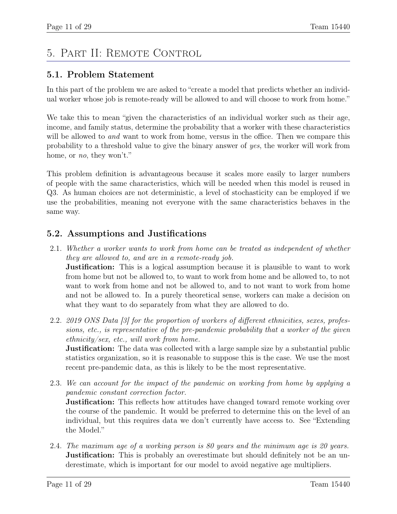# 5. Part II: Remote Control

# 5.1. Problem Statement

In this part of the problem we are asked to "create a model that predicts whether an individual worker whose job is remote-ready will be allowed to and will choose to work from home."

We take this to mean "given the characteristics of an individual worker such as their age, income, and family status, determine the probability that a worker with these characteristics will be allowed to and want to work from home, versus in the office. Then we compare this probability to a threshold value to give the binary answer of yes, the worker will work from home, or no, they won't."

This problem definition is advantageous because it scales more easily to larger numbers of people with the same characteristics, which will be needed when this model is reused in Q3. As human choices are not deterministic, a level of stochasticity can be employed if we use the probabilities, meaning not everyone with the same characteristics behaves in the same way.

# 5.2. Assumptions and Justifications

- 2.1. Whether a worker wants to work from home can be treated as independent of whether they are allowed to, and are in a remote-ready job. **Justification:** This is a logical assumption because it is plausible to want to work from home but not be allowed to, to want to work from home and be allowed to, to not want to work from home and not be allowed to, and to not want to work from home and not be allowed to. In a purely theoretical sense, workers can make a decision on what they want to do separately from what they are allowed to do.
- 2.2. 2019 ONS Data [3] for the proportion of workers of different ethnicities, sexes, professions, etc., is representative of the pre-pandemic probability that a worker of the given ethnicity/sex, etc., will work from home.

**Justification:** The data was collected with a large sample size by a substantial public statistics organization, so it is reasonable to suppose this is the case. We use the most recent pre-pandemic data, as this is likely to be the most representative.

- 2.3. We can account for the impact of the pandemic on working from home by applying a pandemic constant correction factor. **Justification:** This reflects how attitudes have changed toward remote working over the course of the pandemic. It would be preferred to determine this on the level of an
- individual, but this requires data we don't currently have access to. See "Extending the Model." 2.4. The maximum age of a working person is 80 years and the minimum age is 20 years. **Justification:** This is probably an overestimate but should definitely not be an un-

derestimate, which is important for our model to avoid negative age multipliers.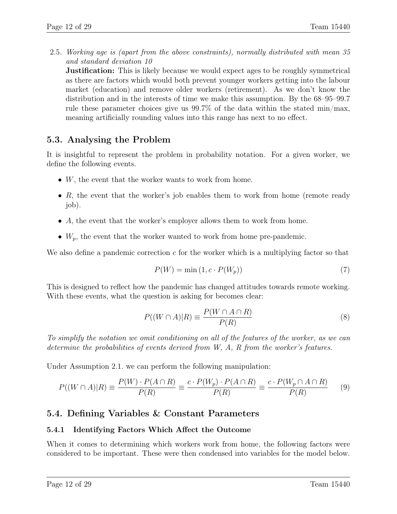2.5. Working age is (apart from the above constraints), normally distributed with mean 35 and standard deviation 10

**Justification:** This is likely because we would expect ages to be roughly symmetrical as there are factors which would both prevent younger workers getting into the labour market (education) and remove older workers (retirement). As we don't know the distribution and in the interests of time we make this assumption. By the 68–95–99.7 rule these parameter choices give us 99.7% of the data within the stated min/max, meaning artificially rounding values into this range has next to no effect.

#### 5.3. Analysing the Problem

It is insightful to represent the problem in probability notation. For a given worker, we define the following events.

- $W$ , the event that the worker wants to work from home.
- $R$ , the event that the worker's job enables them to work from home (remote ready job).
- A, the event that the worker's employer allows them to work from home.
- $W_p$ , the event that the worker wanted to work from home pre-pandemic.

We also define a pandemic correction c for the worker which is a multiplying factor so that

$$
P(W) = \min(1, c \cdot P(W_p))
$$
\n<sup>(7)</sup>

This is designed to reflect how the pandemic has changed attitudes towards remote working. With these events, what the question is asking for becomes clear:

$$
P((W \cap A)|R) \equiv \frac{P(W \cap A \cap R)}{P(R)}\tag{8}
$$

To simplify the notation we omit conditioning on all of the features of the worker, as we can determine the probabilities of events derived from W, A, R from the worker's features.

Under Assumption 2.1. we can perform the following manipulation:

$$
P((W \cap A)|R) \equiv \frac{P(W) \cdot P(A \cap R)}{P(R)} \equiv \frac{c \cdot P(W_p) \cdot P(A \cap R)}{P(R)} \equiv \frac{c \cdot P(W_p \cap A \cap R)}{P(R)} \tag{9}
$$

### 5.4. Defining Variables & Constant Parameters

#### 5.4.1 Identifying Factors Which Affect the Outcome

When it comes to determining which workers work from home, the following factors were considered to be important. These were then condensed into variables for the model below.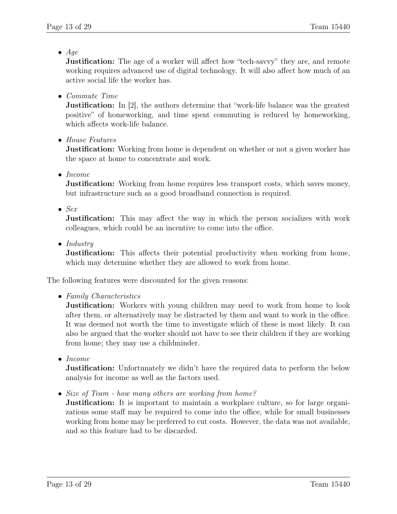$\bullet$  Age

**Justification:** The age of a worker will affect how "tech-savvy" they are, and remote working requires advanced use of digital technology. It will also affect how much of an active social life the worker has.

• Commute Time

**Justification:** In [2], the authors determine that "work-life balance was the greatest positive" of homeworking, and time spent commuting is reduced by homeworking, which affects work-life balance.

• House Features

**Justification:** Working from home is dependent on whether or not a given worker has the space at home to concentrate and work.

• Income

**Justification:** Working from home requires less transport costs, which saves money, but infrastructure such as a good broadband connection is required.

 $\bullet$  Sex

**Justification:** This may affect the way in which the person socializes with work colleagues, which could be an incentive to come into the office.

• Industry

**Justification:** This affects their potential productivity when working from home, which may determine whether they are allowed to work from home.

The following features were discounted for the given reasons:

• Family Characteristics

**Justification:** Workers with young children may need to work from home to look after them, or alternatively may be distracted by them and want to work in the office. It was deemed not worth the time to investigate which of these is most likely. It can also be argued that the worker should not have to see their children if they are working from home; they may use a childminder.

• Income

**Justification:** Unfortunately we didn't have the required data to perform the below analysis for income as well as the factors used.

• Size of Team - how many others are working from home?

**Justification:** It is important to maintain a workplace culture, so for large organizations some staff may be required to come into the office, while for small businesses working from home may be preferred to cut costs. However, the data was not available, and so this feature had to be discarded.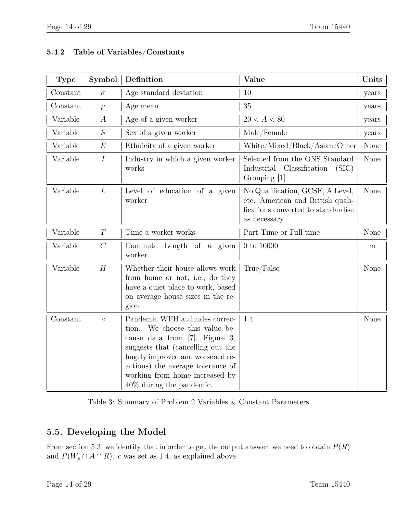| <b>Type</b> | Symbol           | Definition                                                                                                                                                                                                                                                                              | Value                                                                                                                       | Units |
|-------------|------------------|-----------------------------------------------------------------------------------------------------------------------------------------------------------------------------------------------------------------------------------------------------------------------------------------|-----------------------------------------------------------------------------------------------------------------------------|-------|
| Constant    | $\sigma$         | Age standard deviation                                                                                                                                                                                                                                                                  | 10                                                                                                                          | years |
| Constant    | $\mu$            | Age mean                                                                                                                                                                                                                                                                                | 35                                                                                                                          | years |
| Variable    | $\boldsymbol{A}$ | Age of a given worker                                                                                                                                                                                                                                                                   | $20 < A < 80$                                                                                                               | years |
| Variable    | S                | Sex of a given worker                                                                                                                                                                                                                                                                   | Male/Female                                                                                                                 | years |
| Variable    | E                | Ethnicity of a given worker                                                                                                                                                                                                                                                             | White/Mixed/Black/Asian/Other                                                                                               | None  |
| Variable    | $\boldsymbol{I}$ | Industry in which a given worker<br>works                                                                                                                                                                                                                                               | Selected from the ONS Standard<br>Industrial<br>Classification<br>(SIC)<br>Grouping [1]                                     | None  |
| Variable    | L                | Level of education of a given<br>worker                                                                                                                                                                                                                                                 | No Qualification, GCSE, A Level,<br>etc. American and British quali-<br>fications converted to standardise<br>as necessary. | None  |
| Variable    | T                | Time a worker works                                                                                                                                                                                                                                                                     | Part Time or Full time                                                                                                      | None  |
| Variable    | $\mathcal{C}$    | Commute Length of a given<br>worker                                                                                                                                                                                                                                                     | $0$ to $10000$                                                                                                              | m     |
| Variable    | $\boldsymbol{H}$ | Whether their house allows work<br>from home or not, i.e., do they<br>have a quiet place to work, based<br>on average house sizes in the re-<br>gion                                                                                                                                    | True/False                                                                                                                  | None  |
| Constant    | $\overline{c}$   | Pandemic WFH attitudes correc-<br>We choose this value be-<br>tion.<br>cause data from $[7]$ , Figure 3,<br>suggests that (cancelling out the<br>hugely improved and worsened re-<br>actions) the average tolerance of<br>working from home increased by<br>$40\%$ during the pandemic. | 1.4                                                                                                                         | None  |

#### 5.4.2 Table of Variables/Constants

Table 3: Summary of Problem 2 Variables & Constant Parameters

# 5.5. Developing the Model

From section 5.3, we identify that in order to get the output answer, we need to obtain  $P(R)$ and  $P(W_p \cap A \cap R)$ . c was set as 1.4, as explained above.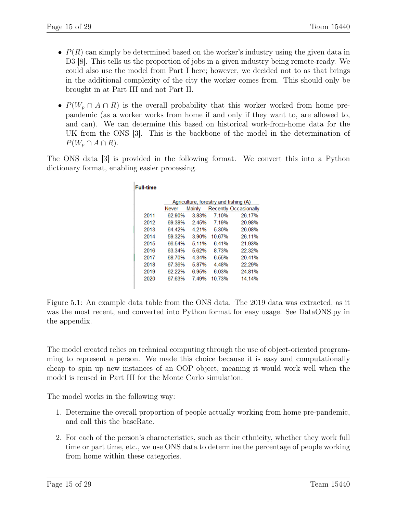- $P(R)$  can simply be determined based on the worker's industry using the given data in D3 [8]. This tells us the proportion of jobs in a given industry being remote-ready. We could also use the model from Part I here; however, we decided not to as that brings in the additional complexity of the city the worker comes from. This should only be brought in at Part III and not Part II.
- $P(W_p \cap A \cap R)$  is the overall probability that this worker worked from home prepandemic (as a worker works from home if and only if they want to, are allowed to, and can). We can determine this based on historical work-from-home data for the UK from the ONS [3]. This is the backbone of the model in the determination of  $P(W_n \cap A \cap R)$ .

The ONS data [3] is provided in the following format. We convert this into a Python dictionary format, enabling easier processing.

| <b>Full-time</b> |              |         |        |                                       |
|------------------|--------------|---------|--------|---------------------------------------|
|                  |              |         |        | Agriculture, forestry and fishing (A) |
|                  | <b>Never</b> | Mainly  |        | <b>Recently Occasionally</b>          |
| 2011             | 62.90%       | 3.83%   | 7.10%  | 26.17%                                |
| 2012             | 6938%        | 245%    | 7 19%  | 20.98%                                |
| 2013             | 64.42%       | 4.21%   | 5.30%  | 26.08%                                |
| 2014             | 59 32%       | 3 90%   | 10 67% | 26 11%                                |
| 2015             | 66.54%       | 5 1 1 % | 641%   | 21 93%                                |
| 2016             | 63.34%       | 5.62%   | 8.73%  | 22.32%                                |
| 2017             | 68.70%       | 4.34%   | 6.55%  | 20.41%                                |
| 2018             | 67.36%       | 5.87%   | 4.48%  | 22.29%                                |
| 2019             | 62.22%       | 6.95%   | 6.03%  | 24.81%                                |
| 2020             | 67 63%       | 749%    | 10 73% | 14 14%                                |
|                  |              |         |        |                                       |

Figure 5.1: An example data table from the ONS data. The 2019 data was extracted, as it was the most recent, and converted into Python format for easy usage. See DataONS.py in the appendix.

The model created relies on technical computing through the use of object-oriented programming to represent a person. We made this choice because it is easy and computationally cheap to spin up new instances of an OOP object, meaning it would work well when the model is reused in Part III for the Monte Carlo simulation.

The model works in the following way:

- 1. Determine the overall proportion of people actually working from home pre-pandemic, and call this the baseRate.
- 2. For each of the person's characteristics, such as their ethnicity, whether they work full time or part time, etc., we use ONS data to determine the percentage of people working from home within these categories.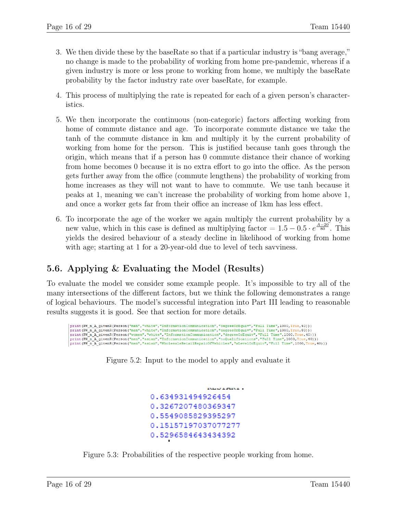- 3. We then divide these by the baseRate so that if a particular industry is "bang average," no change is made to the probability of working from home pre-pandemic, whereas if a given industry is more or less prone to working from home, we multiply the baseRate probability by the factor industry rate over baseRate, for example.
- 4. This process of multiplying the rate is repeated for each of a given person's characteristics.
- 5. We then incorporate the continuous (non-categoric) factors affecting working from home of commute distance and age. To incorporate commute distance we take the tanh of the commute distance in km and multiply it by the current probability of working from home for the person. This is justified because tanh goes through the origin, which means that if a person has 0 commute distance their chance of working from home becomes 0 because it is no extra effort to go into the office. As the person gets further away from the office (commute lengthens) the probability of working from home increases as they will not want to have to commute. We use tanh because it peaks at 1, meaning we can't increase the probability of working from home above 1, and once a worker gets far from their office an increase of 1km has less effect.
- 6. To incorporate the age of the worker we again multiply the current probability by a new value, which in this case is defined as multiplying factor =  $1.5 - 0.5 \cdot e^{\frac{A-20}{80}}$ . This yields the desired behaviour of a steady decline in likelihood of working from home with age; starting at 1 for a 20-year-old due to level of tech savviness.

# 5.6. Applying & Evaluating the Model (Results)

To evaluate the model we consider some example people. It's impossible to try all of the many intersections of the different factors, but we think the following demonstrates a range of logical behaviours. The model's successful integration into Part III leading to reasonable results suggests it is good. See that section for more details.



Figure 5.2: Input to the model to apply and evaluate it

```
Koolania.
0.634931494926454
0.3267207480369347
0.5549085829395297
0.15157197037077277
0.5296584643434392
```
Figure 5.3: Probabilities of the respective people working from home.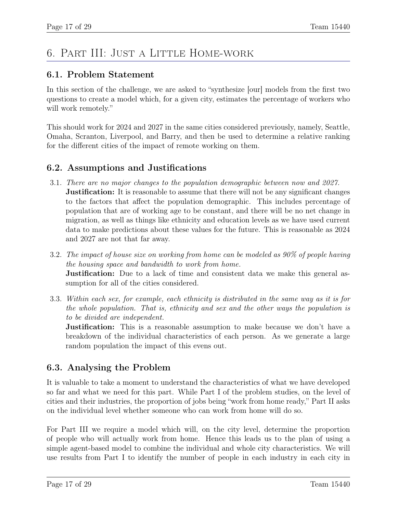# 6. Part III: Just a Little Home-work

### 6.1. Problem Statement

In this section of the challenge, we are asked to "synthesize [our] models from the first two questions to create a model which, for a given city, estimates the percentage of workers who will work remotely."

This should work for 2024 and 2027 in the same cities considered previously, namely, Seattle, Omaha, Scranton, Liverpool, and Barry, and then be used to determine a relative ranking for the different cities of the impact of remote working on them.

### 6.2. Assumptions and Justifications

- 3.1. There are no major changes to the population demographic between now and 2027. **Justification:** It is reasonable to assume that there will not be any significant changes to the factors that affect the population demographic. This includes percentage of population that are of working age to be constant, and there will be no net change in migration, as well as things like ethnicity and education levels as we have used current data to make predictions about these values for the future. This is reasonable as 2024 and 2027 are not that far away.
- 3.2. The impact of house size on working from home can be modeled as 90% of people having the housing space and bandwidth to work from home. **Justification:** Due to a lack of time and consistent data we make this general assumption for all of the cities considered.
- 3.3. Within each sex, for example, each ethnicity is distributed in the same way as it is for the whole population. That is, ethnicity and sex and the other ways the population is to be divided are independent.

**Justification:** This is a reasonable assumption to make because we don't have a breakdown of the individual characteristics of each person. As we generate a large random population the impact of this evens out.

# 6.3. Analysing the Problem

It is valuable to take a moment to understand the characteristics of what we have developed so far and what we need for this part. While Part I of the problem studies, on the level of cities and their industries, the proportion of jobs being "work from home ready," Part II asks on the individual level whether someone who can work from home will do so.

For Part III we require a model which will, on the city level, determine the proportion of people who will actually work from home. Hence this leads us to the plan of using a simple agent-based model to combine the individual and whole city characteristics. We will use results from Part I to identify the number of people in each industry in each city in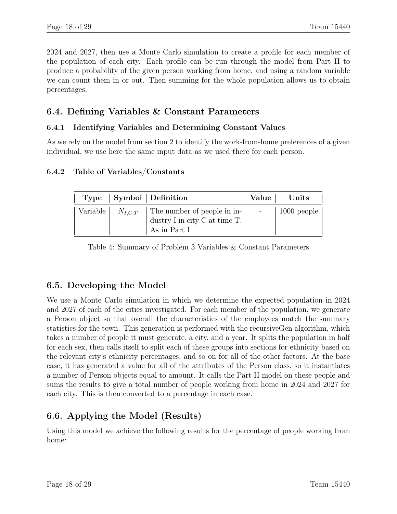2024 and 2027, then use a Monte Carlo simulation to create a profile for each member of the population of each city. Each profile can be run through the model from Part II to produce a probability of the given person working from home, and using a random variable we can count them in or out. Then summing for the whole population allows us to obtain percentages.

### 6.4. Defining Variables & Constant Parameters

#### 6.4.1 Identifying Variables and Determining Constant Values

As we rely on the model from section 2 to identify the work-from-home preferences of a given individual, we use here the same input data as we used there for each person.

#### 6.4.2 Table of Variables/Constants

|  | Type   Symbol   Definition                                                                                                                                                                        | Value   Units |
|--|---------------------------------------------------------------------------------------------------------------------------------------------------------------------------------------------------|---------------|
|  | Variable $\mid N_{I,C,T} \mid$ The number of people in in- $\mid$ - $\mid$ 1000 people<br>$^\ensuremath{\dag}$ dustry I in city C at time T. $_\ensuremath{\mathrm{1}}$<br>$^+$ As in Part I $\,$ |               |

Table 4: Summary of Problem 3 Variables & Constant Parameters

# 6.5. Developing the Model

We use a Monte Carlo simulation in which we determine the expected population in 2024 and 2027 of each of the cities investigated. For each member of the population, we generate a Person object so that overall the characteristics of the employees match the summary statistics for the town. This generation is performed with the recursiveGen algorithm, which takes a number of people it must generate, a city, and a year. It splits the population in half for each sex, then calls itself to split each of these groups into sections for ethnicity based on the relevant city's ethnicity percentages, and so on for all of the other factors. At the base case, it has generated a value for all of the attributes of the Person class, so it instantiates a number of Person objects equal to amount. It calls the Part II model on these people and sums the results to give a total number of people working from home in 2024 and 2027 for each city. This is then converted to a percentage in each case.

# 6.6. Applying the Model (Results)

Using this model we achieve the following results for the percentage of people working from home: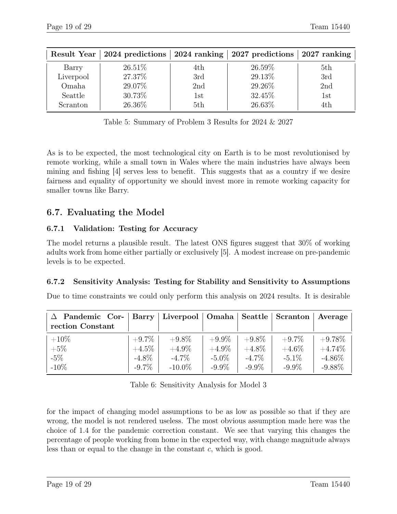| Result Year |        |     | 2024 predictions   2024 ranking   2027 predictions   2027 ranking |     |
|-------------|--------|-----|-------------------------------------------------------------------|-----|
| Barry       | 26.51% | 4th | 26.59%                                                            | 5th |
| Liverpool   | 27.37% | 3rd | 29.13%                                                            | 3rd |
| Omaha       | 29.07% | 2nd | 29.26%                                                            | 2nd |
| Seattle     | 30.73% | 1st | 32.45%                                                            | 1st |
| Scranton    | 26.36% | 5th | 26.63%                                                            | 4th |

Table 5: Summary of Problem 3 Results for 2024 & 2027

As is to be expected, the most technological city on Earth is to be most revolutionised by remote working, while a small town in Wales where the main industries have always been mining and fishing [4] serves less to benefit. This suggests that as a country if we desire fairness and equality of opportunity we should invest more in remote working capacity for smaller towns like Barry.

### 6.7. Evaluating the Model

#### 6.7.1 Validation: Testing for Accuracy

The model returns a plausible result. The latest ONS figures suggest that 30% of working adults work from home either partially or exclusively [5]. A modest increase on pre-pandemic levels is to be expected.

#### 6.7.2 Sensitivity Analysis: Testing for Stability and Sensitivity to Assumptions

Due to time constraints we could only perform this analysis on 2024 results. It is desirable

| $\Delta$ Pandemic Cor-   Barry   Liverpool   Omaha   Seattle   Scranton |          |           |          |          |          | Average   |
|-------------------------------------------------------------------------|----------|-----------|----------|----------|----------|-----------|
| rection Constant                                                        |          |           |          |          |          |           |
| $+10\%$                                                                 | $+9.7\%$ | $+9.8\%$  | $+9.9\%$ | $+9.8\%$ | $+9.7\%$ | $+9.78\%$ |
| $+5\%$                                                                  | $+4.5\%$ | $+4.9\%$  | $+4.9\%$ | $+4.8\%$ | $+4.6\%$ | $+4.74\%$ |
| $-5\%$                                                                  | $-4.8\%$ | $-4.7\%$  | $-5.0\%$ | $-4.7\%$ | $-5.1\%$ | $-4.86\%$ |
| $-10\%$                                                                 | $-9.7\%$ | $-10.0\%$ | $-9.9\%$ | $-9.9\%$ | $-9.9\%$ | $-9.88\%$ |

Table 6: Sensitivity Analysis for Model 3

for the impact of changing model assumptions to be as low as possible so that if they are wrong, the model is not rendered useless. The most obvious assumption made here was the choice of 1.4 for the pandemic correction constant. We see that varying this changes the percentage of people working from home in the expected way, with change magnitude always less than or equal to the change in the constant c, which is good.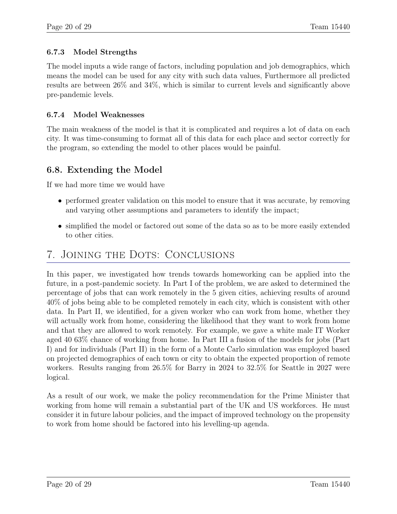#### 6.7.3 Model Strengths

The model inputs a wide range of factors, including population and job demographics, which means the model can be used for any city with such data values, Furthermore all predicted results are between 26% and 34%, which is similar to current levels and significantly above pre-pandemic levels.

#### 6.7.4 Model Weaknesses

The main weakness of the model is that it is complicated and requires a lot of data on each city. It was time-consuming to format all of this data for each place and sector correctly for the program, so extending the model to other places would be painful.

#### 6.8. Extending the Model

If we had more time we would have

- performed greater validation on this model to ensure that it was accurate, by removing and varying other assumptions and parameters to identify the impact;
- simplified the model or factored out some of the data so as to be more easily extended to other cities.

# 7. Joining the Dots: Conclusions

In this paper, we investigated how trends towards homeworking can be applied into the future, in a post-pandemic society. In Part I of the problem, we are asked to determined the percentage of jobs that can work remotely in the 5 given cities, achieving results of around 40% of jobs being able to be completed remotely in each city, which is consistent with other data. In Part II, we identified, for a given worker who can work from home, whether they will actually work from home, considering the likelihood that they want to work from home and that they are allowed to work remotely. For example, we gave a white male IT Worker aged 40 63% chance of working from home. In Part III a fusion of the models for jobs (Part I) and for individuals (Part II) in the form of a Monte Carlo simulation was employed based on projected demographics of each town or city to obtain the expected proportion of remote workers. Results ranging from 26.5% for Barry in 2024 to 32.5% for Seattle in 2027 were logical.

As a result of our work, we make the policy recommendation for the Prime Minister that working from home will remain a substantial part of the UK and US workforces. He must consider it in future labour policies, and the impact of improved technology on the propensity to work from home should be factored into his levelling-up agenda.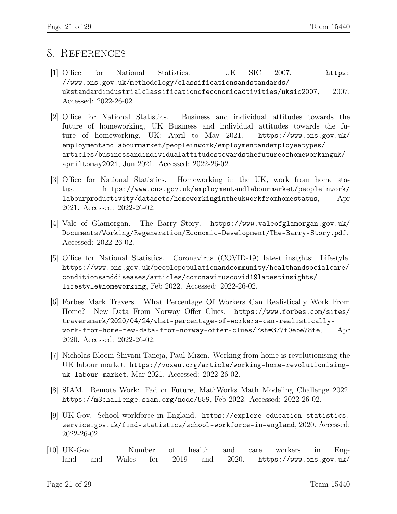#### 8. References

- [1] Office for National Statistics. UK SIC 2007. https: //www.ons.gov.uk/methodology/classificationsandstandards/ ukstandardindustrialclassificationofeconomicactivities/uksic2007, 2007. Accessed: 2022-26-02.
- [2] Office for National Statistics. Business and individual attitudes towards the future of homeworking, UK Business and individual attitudes towards the future of homeworking, UK: April to May 2021. https://www.ons.gov.uk/ employmentandlabourmarket/peopleinwork/employmentandemployeetypes/ articles/businessandindividualattitudestowardsthefutureofhomeworkinguk/ apriltomay2021, Jun 2021. Accessed: 2022-26-02.
- [3] Office for National Statistics. Homeworking in the UK, work from home status. https://www.ons.gov.uk/employmentandlabourmarket/peopleinwork/ labourproductivity/datasets/homeworkingintheukworkfromhomestatus, Apr 2021. Accessed: 2022-26-02.
- [4] Vale of Glamorgan. The Barry Story. https://www.valeofglamorgan.gov.uk/ Documents/Working/Regeneration/Economic-Development/The-Barry-Story.pdf. Accessed: 2022-26-02.
- [5] Office for National Statistics. Coronavirus (COVID-19) latest insights: Lifestyle. https://www.ons.gov.uk/peoplepopulationandcommunity/healthandsocialcare/ conditionsanddiseases/articles/coronaviruscovid19latestinsights/ lifestyle#homeworking, Feb 2022. Accessed: 2022-26-02.
- [6] Forbes Mark Travers. What Percentage Of Workers Can Realistically Work From Home? New Data From Norway Offer Clues. https://www.forbes.com/sites/ traversmark/2020/04/24/what-percentage-of-workers-can-realisticallywork-from-home-new-data-from-norway-offer-clues/?sh=377f0ebe78fe, Apr 2020. Accessed: 2022-26-02.
- [7] Nicholas Bloom Shivani Taneja, Paul Mizen. Working from home is revolutionising the UK labour market. https://voxeu.org/article/working-home-revolutionisinguk-labour-market, Mar 2021. Accessed: 2022-26-02.
- [8] SIAM. Remote Work: Fad or Future, MathWorks Math Modeling Challenge 2022. https://m3challenge.siam.org/node/559, Feb 2022. Accessed: 2022-26-02.
- [9] UK-Gov. School workforce in England. https://explore-education-statistics. service.gov.uk/find-statistics/school-workforce-in-england, 2020. Accessed: 2022-26-02.
- [10] UK-Gov. Number of health and care workers in England and Wales for 2019 and 2020. https://www.ons.gov.uk/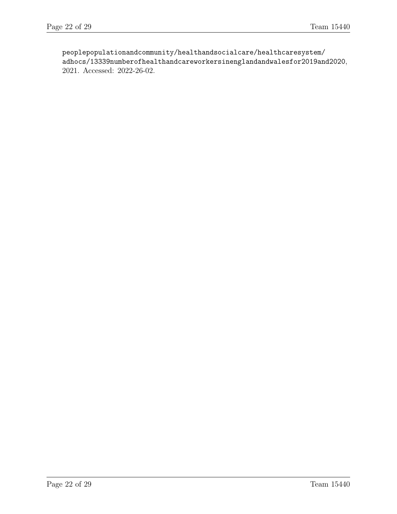peoplepopulationandcommunity/healthandsocialcare/healthcaresystem/ adhocs/13339numberofhealthandcareworkersinenglandandwalesfor2019and2020, 2021. Accessed: 2022-26-02.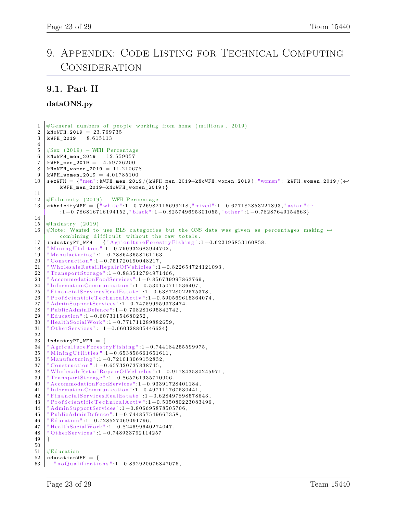# 9. Appendix: Code Listing for Technical Computing Consideration

#### 9.1. Part II

dataONS.py

```
1 \# \text{General numbers of people working from home ( millions, 2019)}2 | kNoWFH_2019 = 23.7697353 \mid \text{kWFH}_{2}019 = 8.6151134
5 \mid \text{\#Sex} (2019) - \text{WFH} Percentage6 kNoWFH_men_2019 = 12.559057
7 \mid \text{kWFH\_men\_2019} = 4.597262008 kNoWFH_women_2019 = 11.210678<br>9 kWFH women 2019 = 4.01785100
    kWFH_{\texttt{}} women_2019 = 4.01785100
10 sexWFH = \{ "men": kWFH_men_2019 / (kWFH_men_2019+kNoWFH_women_2019), "women": kWFH_women_2019 / (←
         kWFH_men_2019+kNoWFH_women_2019 ) }
11
12 #Ethnicity (2019) – WFH Percentage
13 ethnicityWFH = {"white":1-0.726982116699218,"mixed":1-0.677182853221893,"asian"←
         : 1 −0. 7 8 6 8 1 6 7 1 6 1 9 4 1 5 2 , " bl a c k " : 1 −0. 8 2 5 7 4 9 6 9 5 3 0 1 0 5 5 , " o t h e r " :1 −0.78287649154663}
14
15 \#Industry (2019)
16 #Note: Wanted to use BLS categories but the ONS data was given as percentages making \leftrightarrowcombining difficult without the raw totals.
17 | industryFT_WFH = \{ "Agriculture For estry Fishing ":1-0.622196853160858,
18 | "Mining Utilities ": 1 - 0.760932683944702,
19 | "Manufacturing ":1-0.788643658161163,
20 \vert "Construction":1-0.751720190048217,
21 | "WholesaleRetailRepairOfVehicles":1-0.822654724121093,
22 | "TransportStorage":1-0.883512794971466,
23 | "AccommodationFoodServices":1-0.856739997863769,
24 | "InformationCommunication":1-0.530150711536407,
25\; \mid "FinancialServicesRealEstate":1-0.638728022575378,26  | " ProfScientificTechnicalActiv " :1−0.590569615364074,
27 | "AdminSupportServices":1-0.747599959373474,
28 | "PublicAdminDefence":1-0.708281695842742,
29 | "Education":1-0.60731154680252,
30 | "HealthSocialWork":1-0.771711289882659,
31 | "OtherServices": 1-0.660328805446624}
32
33 | industryPT_WFH = \{34 | "Agriculture For estry Fishing ": 1 - 0.744184255599975,
35 | "Mining Utilities": 1 - 0.653858661651611,
36 | "Manufacturing ":1-0.721013069152832,
37 \vert "Construction": 1 – 0.657320737838745,
\frac{38}{\text{}} "WholesaleRetailRepairOfVehicles":1-0.917843580245971,<br>39 "TransportStorage":1-0.865761935710906
    " TransportStorage ": 1 - 0.865761935710906,
40 "AccommodationFoodServices " : 1 −0. 9 3 3 9 1 7 2 8 4 0 1 1 8 4 ,
41 " In formationCommunication " : 1 −0. 4 9 7 1 1 1 7 6 7 5 3 0 4 4 1 ,
42 | "FinancialServicesRealEstate":1-0.628497898578643,
43 \begin{array}{l}\n\text{''} \text{ProfScientific Technical Activity} \text{''}: 1 - 0.505080223083496, \\
\text{''} \text{AdminSupport Services} \text{''}: 1 - 0.806695878505706.\n\end{array}"AdminSupportServices":1 - 0.806695878505706,
45 " PublicAdminDe fence " : 1 −0. 7 4 4 8 5 7 5 4 9 6 6 7 3 5 8 ,
46 " Education " : 1 −0. 7 2 8 5 2 7 0 6 9 0 9 1 7 9 6 ,
47 | "HealthSocialWork":1-0.824699640274047,
48 | "OtherServices":1-0.748933792114257
49 }
50
51 #Education
52 educationWFH = {
53 " no Qualifications": 1-0.892920076847076,
```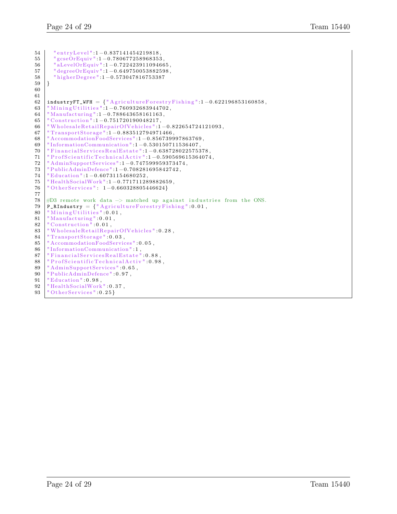```
54 | "entryLevel":1-0.837141454219818,
55 " gcseOrEquiv " : 1 −0. 7 8 0 6 7 7 2 5 8 9 6 8 3 5 3 ,
56 " aLevelOrEquiv " : 1 −0. 7 2 2 4 2 3 9 1 1 0 9 4 6 6 5 ,
57 " degreeOrEquiv " : 1 −0. 6 4 9 7 5 0 0 5 3 8 8 2 5 9 8 ,
58 " higher Degree ": 1 - 0.573047816753387
59 }
60
61
62 | industryFT_WFH = \{ "Agriculture For estry Fishing ":1-0.622196853160858,
63 | "Mining Utilities": 1-0.760932683944702,
64 "Manu facturing " : 1 −0. 7 8 8 6 4 3 6 5 8 1 6 1 1 6 3 ,
65 \vert "Construction":1-0.751720190048217,
66 | "WholesaleRetailRepairOfVehicles":1-0.822654724121093,
67 | "TransportStorage":1-0.883512794971466,
68 "AccommodationFoodServices " : 1 −0. 8 5 6 7 3 9 9 9 7 8 6 3 7 6 9 ,
69 " In formationCommunication " : 1 −0. 5 3 0 1 5 0 7 1 1 5 3 6 4 0 7 ,
70 | "FinancialServicesRealEstate":1-0.638728022575378,
71 | "ProfScientificTechnicalActiv":1-0.590569615364074,
72 | "AdminSupportServices":1-0.747599959373474,
73 | "PublicAdminDefence":1-0.708281695842742,
74 | "Education":1-0.60731154680252,
75 | "HealthSocialWork":1-0.771711289882659,
76 | "OtherServices": 1-0.660328805446624}
77
78 #D3 remote work data \rightarrow matched up against industries from the ONS.<br>79 P BIndustry = \{\n\} Agriculture Forestry Fishing <sup>n</sup>:0.01
    P_RIndustry = {"AgricultureForestryFishing":0.01,
80 | "Mining Utilities" 0.01,
\begin{array}{c} \text{81} \begin{array}{|l} \text{``Manufacturing'':0.01}\,, \\\text{82} \end{array} \end{array}" Construction<sup>"</sup> : 0.01,
83 | "WholesaleRetailRepairOfVehicles":0.28,
84 | "TransportStorage": 0.03,
85 | "AccommodationFoodServices": 0.05,
86 | "InformationCommunication":1,
87 | "FinancialServicesRealEstate": 0.88,
88 | "ProfScientificTechnicalActiv":0.98,<br>89 | "AdminSupportServices":0.65,
     "AdminSupportServices": 0.65,
90 | "PublicAdminDefence": 0.97,
91 | Education": 0.98,<br>92 | HealthSocialWork
    "HealthSocialWork" 0.37,
93 | "OtherServices": 0.25 }
```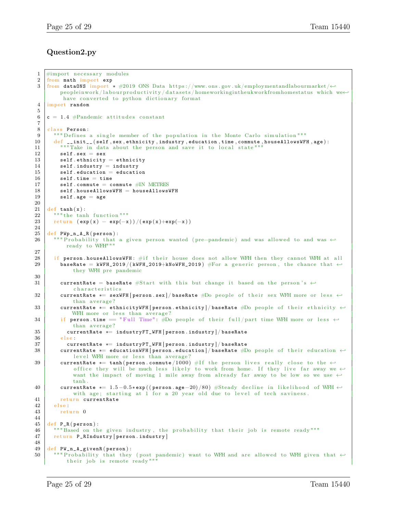#### Question2.py

```
1 #import necessary modules
2 from math import exp
3 from dataONS import * #2019 ONS Data https://www.ons.gov.uk/employmentandlabourmarket/←
         peopleinwork/labourproductivity/datasets/homeworkingintheukworkfromhomestatus which we\leftrightarrowhave converted to python dictionary format
4 import random
5
6 c = 1.4 #Pandemic attitudes constant
7
8 class Person:
9 | """ Defines a single member of the population in the Monte Carlo simulation """
10 def _{-1}init<sub>--</sub> (self, sex, ethnicity, industry, education, time, commute, houseAllowsWFH, age):
11 | """Take in data about the person and save it to local state""
12 self.sex = sex
13 self ethnicity = ethnicity
14 self.industry = industry
15 self education = education<br>16 self .time = time
         self.time = time17 self. commute = commute #IN METRES
18 self . houseAllowsWFH = houseAllowsWFH
19 self. age = age
20
21 def tanh(x):
22 \begin{array}{c|c} \n m \cdot \text{m} \cdot \text{m} \cdot \text{tanh} & \text{function} \cdot \text{m} \cdot \text{m} \cdot \text{tanh} \cdot \text{tanh} \cdot \text{tanh} \cdot \text{tanh} \cdot \text{tanh} \cdot \text{tanh} \cdot \text{tanh} \cdot \text{tanh} \cdot \text{tanh} \cdot \text{tanh} \cdot \text{tanh} \cdot \text{tanh} \cdot \text{tanh} \cdot \text{tanh} \cdot \text{tanh} \cdot \text{tanh} \cdot \text{tanh} \cdot \text{tanh} \cdot \text{tanh} \cdot \text{tanh} \return (exp(x) - exp(-x))/(exp(x)+exp(-x))24
25 def PWp_n_A_R (person):
26 | """Probability that a given person wanted (pre-pandemic) and was allowed to and was ←
           ready to WFH"""
27
28 if person houseAllowsWFH: \#if their house does not allow WFH then they cannot WFH at all
29 baseRate = kWFH_2019 / (kWFH_2019+kNoWFH_2019) #For a generic person, the chance that \leftrightarrowthey WFH pre pandemic
30
31 currentRate = baseRate #Start with this but change it based on the person's \leftrightarrowcharacteristics
32 currentRate *= sexWFH [person.sex] / baseRate #Do people of their sex WFH more or less \leftrightarrowthan average?
33 currentRate *= ethnicityWFH [person ethnicity]/baseRate #Do people of their ethnicity \leftrightarrowWFH more or less than average?
34 if person time == "Full Time": #Do people of their full/part time WFH more or less \leftrightarrowthan average?
35 currentRate *= industryFT_WFH [person.industry] / baseRate \frac{36}{100}e l s e :
37 currentRate *= industryPT_WFH [person.industry] / baseRate
38 currentRate *= educationWFH [person education] / baseRate #Do people of their education \leftrightarrowlevel WFH more or less than average?
39 currentRate *= tanh (person.commute / 1000) #If the person lives really close to the \leftrightarrowoffice they will be much less likely to work from home. If they live far away we \leftrightarrowwant the impact of moving 1 mile away from already far away to be low so we use \leftarrowtanh .
40 currentRate *= 1.5 -0.5* exp ((person.age -20)/80) #Steady decline in likelihood of WFH \leftrightarrowwith age; starting at 1 for a 20 year old due to level of tech saviness.
41 return currentRate<br>42 else:
       e l s e :
43 return 0
44
45 def P_R(person):
46 """Based on the given industry, the probability that their job is remote ready"""
47 | return P_RIndustry [person.industry]
\frac{48}{49}def PW_n_A_givenR ( person ) :
50 | """ Probability that they (post pandemic) want to WFH and are allowed to WFH given that \leftrightarrowtheir job is remote ready""'
```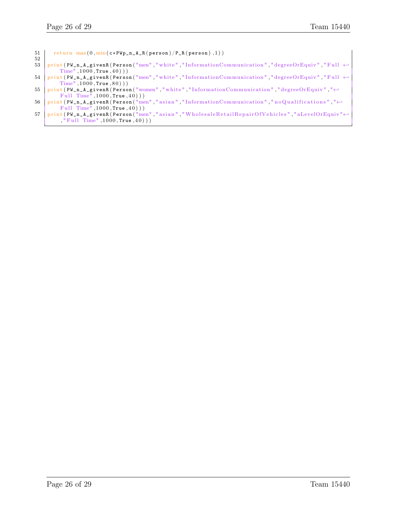```
51 | return max(0, min(c*FWp_n_A_A_R(person)/P_R(person), 1))52
53 print (PW\_n\_A\_givenR (Person("men", "white", "InformationCommunication", "degreeOrEquiv", "Full <math>\leftarrowTime" , 1000, True , 40))
54 print (PW_n_A_givenR (Person("men", "white", "Information Communication", "degreeOrEquiv", "Full \leftrightarrowTime", 1000, True, 80))
55 print (PW_n_A_givenR (Person ("women", "white", "InformationCommunication", "degreeOrEquiv", "←
        Full Time", 1000, True, 40) ) )
56 print (PW_n_A_givenR (Person ("men", "asian", "InformationCommunication", "no Qualifications", "←
        Full Time", 1000, True, 40)))
57 print (PW_n_A_givenR(Person ("men","asian","WholesaleRetailRepairOfVehicles","aLevelOrEquiv"←
        , "Full Time", 1000, True, 40) ) )
```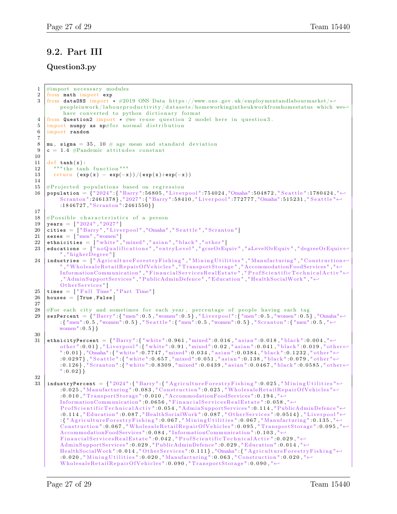### 9.2. Part III

#### Question3.py

```
1 #import necessary modules
 2 from math import exp
 3 from data0NS import * #2019 ONS Data https://www.ons.gov.uk/employmentandlabourmarket/←
         peopleinwork/labourproductivity/datasets/homeworkingintheukworkfromhomestatus which we\leftrightarrowhave converted to python dictionary format
 4 from Question2 import * #we reuse question 2 model here in question3.
 5 import numpy as np#for normal distribution
 6 import random
 7
 8 mu, sigma = 35, 10 # age mean and standard deviation
9 c = 1.4 #Pandemic attitudes constant
10
11 def tanh(x):
12 | """ the tanh function"""
13 return (exp(x) - exp(-x))/(exp(x)+exp(-x))14
15 #Projected populations based on regression
16 population = {" 2024 " : { "Barry" : 5 6 8 0 5 , " Li v e r p o ol " : 7 5 4 0 2 4 , "Omaha" : 5 0 4 8 7 2 , " S e a t t l e " : 1 7 8 0 4 2 4 , "←-
         Scranton":2461378}, "2027": { "Barry":58410, "Liverpool":772777, "Omaha":515231, "Seattle "←
         : 1846727, "Scranton": 2461550\}17
18 #Possible characteristics of a person
19 years = [ "2024", "2027"]
20 | cities = [ "Barry", "Liverpool", "Omaha", "Seattle", "Scranton"]
21 sexes = ["men","women"]
22 \mid ethnicities \mid ["white","mixed","asian","black","other"]
23 educations = \int_0^{\pi} no Qualifications", "entryLevel", "gcseOrEquiv", "aLevelOrEquiv", "degreeOrEquiv\leftrightarrow", "higherDegree"]
24 |industries = ["AgricultureForestryFishing","MiningUtilities","Manufacturing","Construction\leftrightarrow" , " W h ol e s al e R e t ail R e p ai rO fV e hi cl e s " , " T r a n s p o r t S t o r a g e " , "AccommodationFoodServices " , "←-
          {\rm Information Communication} , "{\rm Financial ServicesRealEstate} ", "{\rm ProfScientific TechnicalActiv} "\leftrightarrow, "AdminSupportServices", "PublicAdminDefence", "Education", "HealthSocialWork", "←
         Other Services"]
25 times = ["Full Time", "Part Time"]
26 | houses = [True, False]27
28 #For each city and sometimes for each year, percentage of people having each tag
29 \vert sexPercent = {"Barry":{"men":0.5,"women":0.5},"Liverpool":{"men":0.5,"women":0.5},"Omaha" \leftrightarrow: { "men" : 0.5, "women" : 0.5}, "Seattle ": { "men" : 0.5, "women" : 0.5}, "Scranton": { "men" : 0.5, "\leftrightarrowwomen" : 0 . 5 } }
30
31 | ethnicityPercent = \{ "Barry" :\{ " white ":0.961, " mixed ":0.016, " asian ":0.018, " black ":0.004, "\leftrightarrowother " : 0.01 } , "Liverpool " : { "white " : 0.91 , "mixed " :0.02 , "asian " : 0.041 , "black " :0.019 , "other \leftrightarrow" : 0.01}, "Omaha" :{ " white " : 0.7747 , " mixed " : 0.034 , " asian " : 0.0384 , " black " : 0.1232 , " other " \leftrightarrow:0.0297} , "Seattle ":{ "white ":0.657 , "mixed":0.051 , "asian ":0.138 , "black ":0.079 , "other "\leftrightarrow: 0. 126}, "Scranton": { "white": 0. 8309, "mixed": 0. 0439, "asian": 0. 0467, "black": 0. 0585, "other \leftrightarrow" : 0.02}
32
33 | industryPercent = \{ "2024":\{ "Barry ":\{ "AgricultureForestryFishing ":0.025, "MiningUtilities "\leftrightarrow: 0.025, "Manufacturing":0.083, "Construction":0.025, "WholesaleRetailRepairOfVehicles"\leftrightarrow: 0.010, "TransportStorage": 0.010, "AccommodationFoodServices": 0.194, "←
         In formationCommunication " : 0 . 0 6 5 6 , " F i n a n c i a l S e r v i c e s R e a l E s t a t e " : 0 . 0 5 8 , "←-
         \texttt{ProfScientificTechnicalActivity} " : 0.054 \text{, } "AdminSupport Services" : 0.114 \text{, } "PublicAdminDefence" \leftarrow: 0.114, "Education": 0.087, "\text{HealthSocialWork}": 0.087, "Other Services": 0.0514}, "Liverpool"\leftrightarrow\cdot: { "Agriculture Forestry Fishing ": 0.067, " Mining Utilities ": 0.067, " Manufacturing ": 0.135, "\leftrightarrow\text{Construction} ":0.067, "WholesaleRetailRepairOfVehicles":0.095, "TransportStorage":0.095, "\leftrightarrowAccommodationFoodServices " : 0 . 0 8 4 , " In formationCommunication " : 0 . 1 0 3 , "←-
         \small{\texttt{Financial ServicesRealEstate} \texttt{"}:0.042\texttt{, "ProfScientificTechnicalActiv"}:0.029\texttt{, "}{\leftarrow}} \label{eq:final1}\rm{AdminSupportServices} " : 0.029, "PublicAdminDefence ": 0.029, "Education ": 0.014, "\leftrightarrow{\tt Health SocialWork} ".0.014 , "OtherServices ":0.111} , "Omaha" :{ "AgricultureForestryFishing "\leftrightarrow: 0\,.020\,," MiningUtilities ": 0\,.020\,," Manufacturing ": 0\,.063\,," Construction ": 0\,.020\,,"\leftrightarrowWholesaleRetailRepairOfVehicles":0.090, "TransportStorage":0.090, "\leftrightarrow
```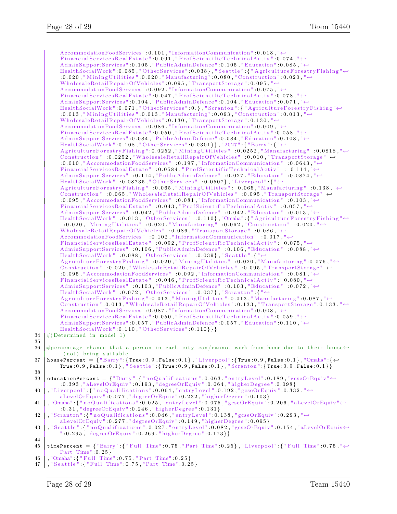```
AccommodationFoodServices " : 0 . 1 0 1 , " In formationCommunication " : 0 . 0 1 8 , "←-
           \texttt{Financial ServicesRealEstate} " . 0.091 , " \texttt{ProfScientificTechnicalActiv} " :0.074 , " \leftrightarrow\operatorname{AdminSupportServices}" : 0.105 , "\operatorname{PublicAdminDefence}" : 0.105 , "\operatorname{Education}" : 0.085 , "\hookleftarrow\texttt{HealthSocialWork} " : 0 . 085 , " Other Services " : 0 . 038 } , " Seattle " . { " Agriculture Forestry Fishing "\leftrightarrow: 0.020\,, " Mining Utilities " : 0.020\,, " Manufacturing " : 0.080\,, " Construction " : 0.020\,, " \leftrightarrowWholesaleRetailRepairOfVehicles": 0.095, "TransportStorage": 0.095, "\leftrightarrowAccommodationFoodServices " : 0 . 0 9 2 , " In formationCommunication " : 0 . 0 7 5 , "←-
          Financial ServicesRealEstate":0.047, "ProfScientificTechnicalActiv":0.078, "\leftrightarrow\text{AdminSupportService} ".0.104, "PublicAdminDefence ":0.104, "Education ":0.071, "\leftrightarrow\text{HealthSocialWork} " :0 .071 , "OtherServices " :0 . } , "Scranton " :{ "AgricultureForestryFishing "\leftrightarrow: 0.013 , " \rm{Mining } Utilities " : 0.013 , "\rm{Manufacturing} " : 0.093 , " \rm{Construction} " : 0.013 , "\leftrightarrow\noindent \emph{WholesaleRetail} \emph{RepairOfV} \emph{whichicles}\texttt{'':0.130}\texttt{, "TransportStorage" :0.130}\texttt{, "}{\leftrightarrow} \emph{W}AccommodationFoodServices": 0.086, "InformationCommunication": 0.009, "←
          \text{Financial ServicesRealEstate}":0.050, "ProfScientificTechnicalActiv":0.058, "\leftrightarrow\text{AdminSupportServices}": 0.084, "PublicAdminDefence ": 0.084, "Education": 0.108, "\leftrightarrow{\rm Health SocialWork}" : 0.108, "Other Services ": 0.0301}}, "2027" : { "Barry" : { "\leftrightarrow\text{AgricultureForestryFishing} : 0.0252, "Mining Utilities" : 0.0252, "Manufacturing" : 0.0818, "\leftrightarrowConstruction" : 0.0252, "WholesaleRetailRepairOfVehicles" : 0.010, "TransportStorage" \leftrightarrow: 0 . 0 1 0 , "AccommodationFoodServices " : 0 . 1 9 7 , " In formationCommunication " : 0 . 0 6 4 3 , "←-
          FinancialServicesRealEstate" :0.0584, "ProfScientificTechnicalActiv" : 0.114, "←
          \text{AdminSupportServices}" : 0.114, "PublicAdminDefence" : 0.027, "Education" : 0.0874, "\leftrightarrow\text{HealthSocialWork}" .0 .08735 ," \text{Otherwise}" .0 .0597} ," \text{Liverpool} ".{ "\leftrightarrowA g ri c ul t u r e F o r e s t r y Fi s hi n g " : 0 . 0 6 5 , " M i n i n g U t i l i t i e s " : 0. 0 6 5 , "Manu facturing " : 0 . 1 3 8 , "←-
          Construction" : 0.065, "WholesaleRetailRepairOfVehicles" : 0.095, "TransportStorage" ↔
          : 0 . 0 9 5 , "AccommodationFoodServices " : 0 . 0 8 1 , " In formationCommunication " : 0 . 1 0 3 , "←-
          \label{eq:final} \texttt{Financial ServicesRealEstate} \texttt{''} \texttt{''} \texttt{0.043}, \texttt{''Probability} \texttt{''} \texttt{0.057}, \texttt{''} \leftarrow \texttt{``} \texttt{0.057}, \texttt{''} \leftarrow \texttt{0.057}, \texttt{''} \leftarrow \texttt{0.058}, \texttt{''} \leftarrow \texttt{0.059}, \texttt{''} \leftarrow \texttt{0.059}, \texttt{''} \leftarrow \texttt{0.059}, \texttt{''} \leftarrow \texttt{0.059}, \texttt{''} \leftarrow \texttt{0.059},AdminSupportServices " : 0.042, "PublicAdminDefence " : 0.042, "Education " : 0.013, "←
           {\rm Health SocialWork} \; : 0.013 ,"{\rm Otherwise} \; \; : 0.110\} ,"{\rm Omaha}" : {"{\rm AgricultureForestryFishing} "\leftrightarrow: 0.020\,, "MiningUtilities " : 0.020\,, "Manufacturing " : 0.062\,, "Construction " : 0.020\,, "\leftrightarrowWholesaleRetailRepairOfVehicles" : 0.086, "TransportStorage" : 0.086, "\leftrightarrowAccommodationFoodServices" : 0.102, "InformationCommunication" : 0.017, "←
          Financial ServicesRealEstate "10.092," "ProfScientific Technical Activity" : 0.075," \leftrightarrow\text{AdminSupportServices}" : 0.106, "PublicAdminDefence" : 0.106, "Education" : 0.088, "\leftrightarrowHealth SocialWork" : 0.088, "Otherwise" : 0.039, "Seattle" :\text{AgricultureForestryFishing "}: 0.020, "MiningUtilities" : 0.020, "Manufacturing": 0.076, "~\leftrightarrow~Construction" : 0.020, "WholesaleRetailRepairOfVehicles" : 0.095, "TransportStorage" \leftrightarrow: 0 . 0 9 5 , "AccommodationFoodServices " : 0 . 0 9 2 , " In formationCommunication " : 0 . 0 8 1 , "←-
          \text{Financial ServicesRealEstate}" : 0.046, "ProfScientificTechnicalActiv": 0.080, "\leftrightarrowAdminSupportServices" : 0.103, "PublicAdminDefence" : 0.103, "Education" : 0.072, "\leftarrowHealthSocialWork" : 0.072, "OtherServices" : 0.037}, "Scranton": { "←
           \rm AgricultureForestryFishing\,l :0.013 , "MiningUtilities " :0.013 , "Manufacturing " :0.087 , "\leftrightarrow\text{Construction} ":0.013, "WholesaleRetailRepairOfVehicles ":0.133, "TransportStorage":0.133, "\leftrightarrowAccommodationFoodServices": 0.087, "InformationCommunication": 0.008, "←
          Financial ServicesRealEstate":0.050, "ProfScientificTechnicalActiv":0.059, "\leftrightarrow\text{AdminSupportServices}": 0.057, "PublicAdminDefence ": 0.057, "Education ": 0.110, "\leftrightarrowHealth Social Work " : 0.110, "Otherwise 110" : 0.110}34 \#(Determined in model 1)
36 #percentage chance that a person in each city can/cannot work from home due to their house\leftrightarrow(not) being suitable
37 \text{ } housePercent = \overline{\{} "Barry":\{\texttt{True} : 0.9, \texttt{False} : 0.1\}, "Liverpool":\{\texttt{True} : 0.9, \texttt{False} : 0.1\}, "Omaha":\{\leftarrow\}True : 0.9, False : 0.1}, "Seattle": {True : 0.9, False : 0.1}, "Scranton": {True : 0.9, False : 0.1}}
39 | educationPercent = \{ "Barry":\{ "no Qualifications":0.063, "entryLevel":0.189, "gcseOrEquiv " \leftrightarrow: 0.393, "aLevelOrEquiv": 0.193, "degreeOrEquiv": 0.064, "higherDegree": 0.098}
40\, , "Liverpool": { "noQualifications": 0.064 , "entryLevel": 0.192 , "gcseOrEquiv": 0.332 , "\leftrightarrowaLevelOrEquiv " : 0 . 0 7 7 , " degreeOrEquiv " : 0 . 2 3 2 , " hi g h e rD e g r e e " : 0 . 1 0 3 }
41\, ,"Omaha" :{"noQualifications":0.025 ,"entryLevel":0.075 ,"gcseOrEquiv":0.206 ,"aLevelOrEquiv"\leftrightarrow: 0.31, "degreeOrEquiv": 0.246, "higherDegree": 0.131}
42 , "Scranton": { "no Qualifications": 0.046, "entry Level": 0.138, "gcseOrEquiv": 0.293, "\leftrightarrowaLevelOrEquiv":0.277, "degreeOrEquiv":0.149, "higherDegree":0.095}
43 , "Seattle": { "noQualifications": 0.027, "entryLevel": 0.082, "gcseOrEquiv": 0.154, "aLevelOrEquiv\leftrightarrow" : 0.295, " \text{degreeOrEquiv} " : 0.269, " \text{higherDegree} " : 0.173 \}45\, timePercent = \{ "Barry" :\{ "Full Time" : 0.75, "Part Time" : 0.25}, "Liverpool" : \{ "Full Time" : 0.75, "\leftrightarrowPart Time" : 0 . 2 5 }
46 , "Omaha" : { " F ull Time" : 0 . 7 5 , " Part Time" : 0 . 2 5 }
47 , "Seattle": { "Full Time": 0.75, "Part Time": 0.25}
```
35

38

44